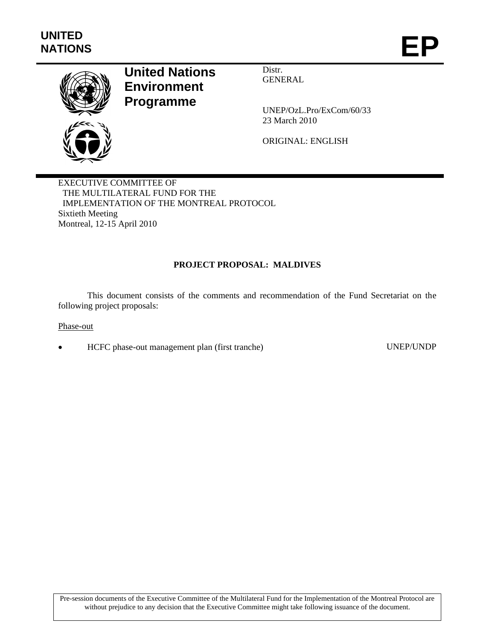

# **United Nations Environment Programme**

Distr. GENERAL

UNEP/OzL.Pro/ExCom/60/33 23 March 2010

ORIGINAL: ENGLISH

EXECUTIVE COMMITTEE OF THE MULTILATERAL FUND FOR THE IMPLEMENTATION OF THE MONTREAL PROTOCOL Sixtieth Meeting Montreal, 12-15 April 2010

# **PROJECT PROPOSAL: MALDIVES**

This document consists of the comments and recommendation of the Fund Secretariat on the following project proposals:

## Phase-out

HCFC phase-out management plan (first tranche) UNEP/UNDP

Pre-session documents of the Executive Committee of the Multilateral Fund for the Implementation of the Montreal Protocol are without prejudice to any decision that the Executive Committee might take following issuance of the document.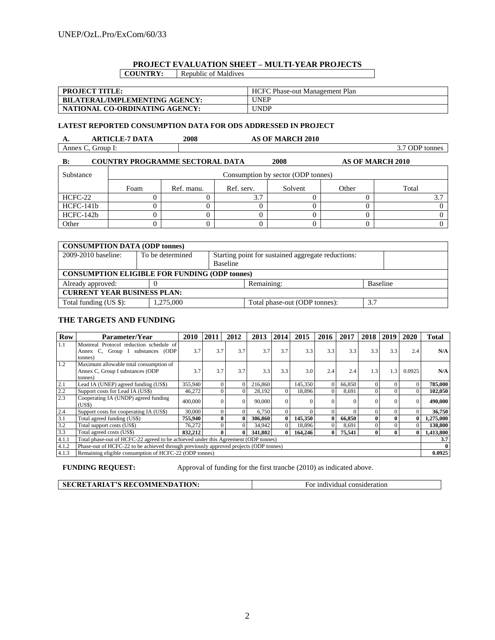#### **PROJECT EVALUATION SHEET – MULTI-YEAR PROJECTS COUNTRY:** Republic of Maldives

| <b>PROJECT TITLE:</b>                 | HCFC Phase-out Management Plan |
|---------------------------------------|--------------------------------|
| <b>BILATERAL/IMPLEMENTING AGENCY:</b> | <b>UNEP</b>                    |
| NATIONAL CO-ORDINATING AGENCY:        | <b>UNDP</b>                    |

#### **LATEST REPORTED CONSUMPTION DATA FOR ODS ADDRESSED IN PROJECT**

| л.    | <b>\RTICLE-7 DATA</b> | 2008 | <b>\S OF MARCH 2010</b> |                       |
|-------|-----------------------|------|-------------------------|-----------------------|
| Annex | Group 1:              |      |                         | ODP $\iota$<br>tonnes |

| <b>COUNTRY PROGRAMME SECTORAL DATA</b><br>2008<br><b>AS OF MARCH 2010</b><br>$\bf{B}$ |      |                                    |            |         |       |       |  |  |  |  |
|---------------------------------------------------------------------------------------|------|------------------------------------|------------|---------|-------|-------|--|--|--|--|
| Substance                                                                             |      | Consumption by sector (ODP tonnes) |            |         |       |       |  |  |  |  |
|                                                                                       | Foam | Ref. manu.                         | Ref. serv. | Solvent | Other | Total |  |  |  |  |
| HCFC-22                                                                               |      |                                    | 3.7        |         |       |       |  |  |  |  |
| HCFC-141b                                                                             |      |                                    |            |         |       |       |  |  |  |  |
| HCFC-142b                                                                             |      |                                    |            |         |       |       |  |  |  |  |
| Other                                                                                 |      |                                    |            |         |       |       |  |  |  |  |

| <b>CONSUMPTION DATA (ODP tonnes)</b>                                        |                  |                                                                |            |                 |  |  |  |  |
|-----------------------------------------------------------------------------|------------------|----------------------------------------------------------------|------------|-----------------|--|--|--|--|
| 2009-2010 baseline:                                                         | To be determined | Starting point for sustained aggregate reductions:<br>Baseline |            |                 |  |  |  |  |
| <b>CONSUMPTION ELIGIBLE FOR FUNDING (ODP tonnes)</b>                        |                  |                                                                |            |                 |  |  |  |  |
| Already approved:                                                           |                  |                                                                | Remaining: | <b>Baseline</b> |  |  |  |  |
| <b>CURRENT YEAR BUSINESS PLAN:</b>                                          |                  |                                                                |            |                 |  |  |  |  |
| Total funding (US \$):<br>1.275,000<br>3.7<br>Total phase-out (ODP tonnes): |                  |                                                                |            |                 |  |  |  |  |

#### **THE TARGETS AND FUNDING**

| <b>Row</b> | Parameter/Year                                                                        | 2010    | 2011         | 2012 | 2013    | 2014     | 2015     | 2016         | 2017   | 2018         | 2019          | 2020         | Total     |
|------------|---------------------------------------------------------------------------------------|---------|--------------|------|---------|----------|----------|--------------|--------|--------------|---------------|--------------|-----------|
| 1.1        | Montreal Protocol reduction schedule of                                               |         |              |      |         |          |          |              |        |              |               |              |           |
|            | Annex C. Group I substances (ODP                                                      | 3.7     | 3.7          | 3.7  | 3.7     | 3.7      | 3.3      | 3.3          | 3.3    | 3.3          | 3.3           | 2.4          | N/A       |
|            | tonnes)                                                                               |         |              |      |         |          |          |              |        |              |               |              |           |
| 1.2        | Maximum allowable total consumption of                                                |         |              |      |         |          |          |              |        |              |               |              |           |
|            | Annex C, Group I substances (ODP                                                      | 3.7     | 3.7          | 3.7  | 3.3     | 3.3      | 3.0      | 2.4          | 2.4    | 1.3          | $1.3^{\circ}$ | 0.0925       | N/A       |
|            | tonnes)                                                                               |         |              |      |         |          |          |              |        |              |               |              |           |
| 2.1        | Lead IA (UNEP) agreed funding (US\$)                                                  | 355,940 | $\theta$     |      | 216,860 |          | 145,350  | $\theta$     | 66,850 |              |               | $\Omega$     | 785,000   |
| 2.2        | Support costs for Lead IA (US\$)                                                      | 46,272  | $\Omega$     |      | 28,192  | $\Omega$ | 18,896   | $\Omega$     | 8,691  |              |               | $\Omega$     | 102,050   |
| 2.3        | Cooperating IA (UNDP) agreed funding<br>(US\$)                                        | 400,000 | $\Omega$     |      | 90,000  | $\Omega$ | $\Omega$ | $\Omega$     |        |              |               | $\Omega$     | 490,000   |
| 2.4        | Support costs for cooperating IA (US\$)                                               | 30,000  | $\theta$     |      | 6.750   | $\Omega$ | $\Omega$ | $\Omega$     |        |              | $\theta$      | $\Omega$     | 36,750    |
| 3.1        | Total agreed funding (US\$)                                                           | 755,940 | $\mathbf{0}$ |      | 306,860 | 0        | 145,350  | $\mathbf{0}$ | 66,850 | $\bf{0}$     | $\mathbf{0}$  | $\mathbf{0}$ | 1,275,000 |
| 3.2        | Total support costs (US\$)                                                            | 76,272  | $\Omega$     |      | 34,942  | $\Omega$ | 18,896   | $\Omega$     | 8,691  |              | $\theta$      | $\Omega$     | 138,800   |
| 3.3        | Total agreed costs (US\$)                                                             | 832,212 | $\mathbf{0}$ | 0    | 341,802 | 0        | 164,246  | $\bf{0}$     | 75,541 | $\mathbf{0}$ | $\mathbf{0}$  | 0            | 1,413,800 |
| 4.1.1      | Total phase-out of HCFC-22 agreed to be achieved under this Agreement (ODP tonnes)    |         |              |      |         |          |          |              |        |              | 3.7           |              |           |
| 4.1.2      | Phase-out of HCFC-22 to be achieved through previously approved projects (ODP tonnes) |         |              |      |         |          |          |              |        | $\mathbf{0}$ |               |              |           |
| 4.1.3      | Remaining eligible consumption of HCFC-22 (ODP tonnes)                                |         |              |      |         |          |          |              |        |              |               |              | 0.0925    |

**FUNDING REQUEST:** Approval of funding for the first tranche (2010) as indicated above.

| <b>SECRETARIAT'S RECOMMENDATION:</b> | r individual consideration<br>For. |
|--------------------------------------|------------------------------------|
|--------------------------------------|------------------------------------|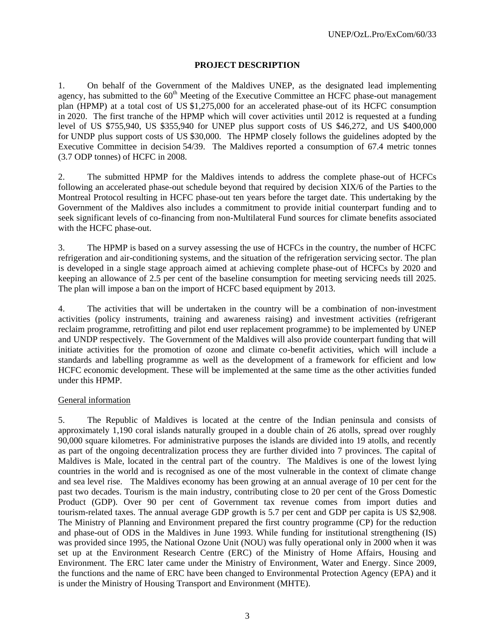## **PROJECT DESCRIPTION**

1. On behalf of the Government of the Maldives UNEP, as the designated lead implementing agency, has submitted to the 60<sup>th</sup> Meeting of the Executive Committee an HCFC phase-out management plan (HPMP) at a total cost of US \$1,275,000 for an accelerated phase-out of its HCFC consumption in 2020. The first tranche of the HPMP which will cover activities until 2012 is requested at a funding level of US \$755,940, US \$355,940 for UNEP plus support costs of US \$46,272, and US \$400,000 for UNDP plus support costs of US \$30,000. The HPMP closely follows the guidelines adopted by the Executive Committee in decision 54/39. The Maldives reported a consumption of 67.4 metric tonnes (3.7 ODP tonnes) of HCFC in 2008.

2. The submitted HPMP for the Maldives intends to address the complete phase-out of HCFCs following an accelerated phase-out schedule beyond that required by decision XIX/6 of the Parties to the Montreal Protocol resulting in HCFC phase-out ten years before the target date. This undertaking by the Government of the Maldives also includes a commitment to provide initial counterpart funding and to seek significant levels of co-financing from non-Multilateral Fund sources for climate benefits associated with the HCFC phase-out.

3. The HPMP is based on a survey assessing the use of HCFCs in the country, the number of HCFC refrigeration and air-conditioning systems, and the situation of the refrigeration servicing sector. The plan is developed in a single stage approach aimed at achieving complete phase-out of HCFCs by 2020 and keeping an allowance of 2.5 per cent of the baseline consumption for meeting servicing needs till 2025. The plan will impose a ban on the import of HCFC based equipment by 2013.

4. The activities that will be undertaken in the country will be a combination of non-investment activities (policy instruments, training and awareness raising) and investment activities (refrigerant reclaim programme, retrofitting and pilot end user replacement programme) to be implemented by UNEP and UNDP respectively. The Government of the Maldives will also provide counterpart funding that will initiate activities for the promotion of ozone and climate co-benefit activities, which will include a standards and labelling programme as well as the development of a framework for efficient and low HCFC economic development. These will be implemented at the same time as the other activities funded under this HPMP.

## General information

5. The Republic of Maldives is located at the centre of the Indian peninsula and consists of approximately 1,190 coral islands naturally grouped in a double chain of 26 atolls, spread over roughly 90,000 square kilometres. For administrative purposes the islands are divided into 19 atolls, and recently as part of the ongoing decentralization process they are further divided into 7 provinces. The capital of Maldives is Male, located in the central part of the country. The Maldives is one of the lowest lying countries in the world and is recognised as one of the most vulnerable in the context of climate change and sea level rise. The Maldives economy has been growing at an annual average of 10 per cent for the past two decades. Tourism is the main industry, contributing close to 20 per cent of the Gross Domestic Product (GDP). Over 90 per cent of Government tax revenue comes from import duties and tourism-related taxes. The annual average GDP growth is 5.7 per cent and GDP per capita is US \$2,908. The Ministry of Planning and Environment prepared the first country programme (CP) for the reduction and phase-out of ODS in the Maldives in June 1993. While funding for institutional strengthening (IS) was provided since 1995, the National Ozone Unit (NOU) was fully operational only in 2000 when it was set up at the Environment Research Centre (ERC) of the Ministry of Home Affairs, Housing and Environment. The ERC later came under the Ministry of Environment, Water and Energy. Since 2009, the functions and the name of ERC have been changed to Environmental Protection Agency (EPA) and it is under the Ministry of Housing Transport and Environment (MHTE).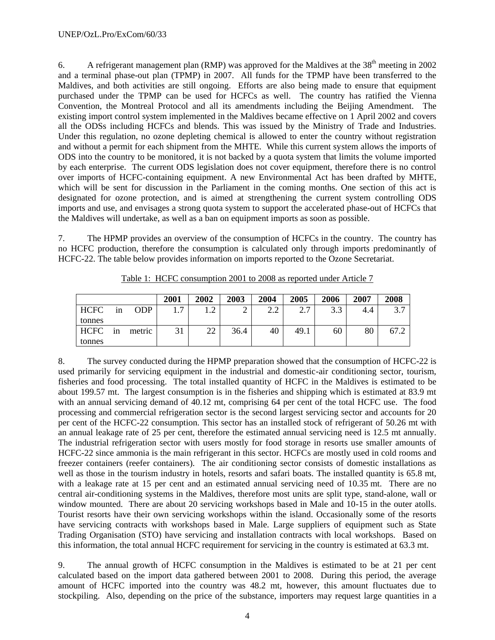6. A refrigerant management plan (RMP) was approved for the Maldives at the  $38<sup>th</sup>$  meeting in 2002 and a terminal phase-out plan (TPMP) in 2007. All funds for the TPMP have been transferred to the Maldives, and both activities are still ongoing. Efforts are also being made to ensure that equipment purchased under the TPMP can be used for HCFCs as well. The country has ratified the Vienna Convention, the Montreal Protocol and all its amendments including the Beijing Amendment. The existing import control system implemented in the Maldives became effective on 1 April 2002 and covers all the ODSs including HCFCs and blends. This was issued by the Ministry of Trade and Industries. Under this regulation, no ozone depleting chemical is allowed to enter the country without registration and without a permit for each shipment from the MHTE. While this current system allows the imports of ODS into the country to be monitored, it is not backed by a quota system that limits the volume imported by each enterprise. The current ODS legislation does not cover equipment, therefore there is no control over imports of HCFC-containing equipment. A new Environmental Act has been drafted by MHTE, which will be sent for discussion in the Parliament in the coming months. One section of this act is designated for ozone protection, and is aimed at strengthening the current system controlling ODS imports and use, and envisages a strong quota system to support the accelerated phase-out of HCFCs that the Maldives will undertake, as well as a ban on equipment imports as soon as possible.

7. The HPMP provides an overview of the consumption of HCFCs in the country. The country has no HCFC production, therefore the consumption is calculated only through imports predominantly of HCFC-22. The table below provides information on imports reported to the Ozone Secretariat.

|             |    |        | 2001 | 2002           | 2003 | 2004          | 2005                      | 2006                   | 2007 | 2008                     |
|-------------|----|--------|------|----------------|------|---------------|---------------------------|------------------------|------|--------------------------|
| <b>HCFC</b> | 1n | ODP    | ⇁    | $\sqrt{2}$<br> | ↩    | $\cap$<br>2.L | $\mathbf{\tau}$<br>⌒<br>. | 3 <sub>3</sub><br>ر. ر | 4.4  | $\gamma$ $\tau$<br>، ، ب |
| tonnes      |    |        |      |                |      |               |                           |                        |      |                          |
| HCFC        | 1n | metric |      | 22             | 36.4 | 40            | 49.1                      | 60                     | 80   | 67.2                     |
| tonnes      |    |        |      |                |      |               |                           |                        |      |                          |

Table 1: HCFC consumption 2001 to 2008 as reported under Article 7

8. The survey conducted during the HPMP preparation showed that the consumption of HCFC-22 is used primarily for servicing equipment in the industrial and domestic-air conditioning sector, tourism, fisheries and food processing. The total installed quantity of HCFC in the Maldives is estimated to be about 199.57 mt. The largest consumption is in the fisheries and shipping which is estimated at 83.9 mt with an annual servicing demand of 40.12 mt, comprising 64 per cent of the total HCFC use. The food processing and commercial refrigeration sector is the second largest servicing sector and accounts for 20 per cent of the HCFC-22 consumption. This sector has an installed stock of refrigerant of 50.26 mt with an annual leakage rate of 25 per cent, therefore the estimated annual servicing need is 12.5 mt annually. The industrial refrigeration sector with users mostly for food storage in resorts use smaller amounts of HCFC-22 since ammonia is the main refrigerant in this sector. HCFCs are mostly used in cold rooms and freezer containers (reefer containers). The air conditioning sector consists of domestic installations as well as those in the tourism industry in hotels, resorts and safari boats. The installed quantity is 65.8 mt, with a leakage rate at 15 per cent and an estimated annual servicing need of 10.35 mt. There are no central air-conditioning systems in the Maldives, therefore most units are split type, stand-alone, wall or window mounted. There are about 20 servicing workshops based in Male and 10-15 in the outer atolls. Tourist resorts have their own servicing workshops within the island. Occasionally some of the resorts have servicing contracts with workshops based in Male. Large suppliers of equipment such as State Trading Organisation (STO) have servicing and installation contracts with local workshops. Based on this information, the total annual HCFC requirement for servicing in the country is estimated at 63.3 mt.

9. The annual growth of HCFC consumption in the Maldives is estimated to be at 21 per cent calculated based on the import data gathered between 2001 to 2008. During this period, the average amount of HCFC imported into the country was 48.2 mt, however, this amount fluctuates due to stockpiling. Also, depending on the price of the substance, importers may request large quantities in a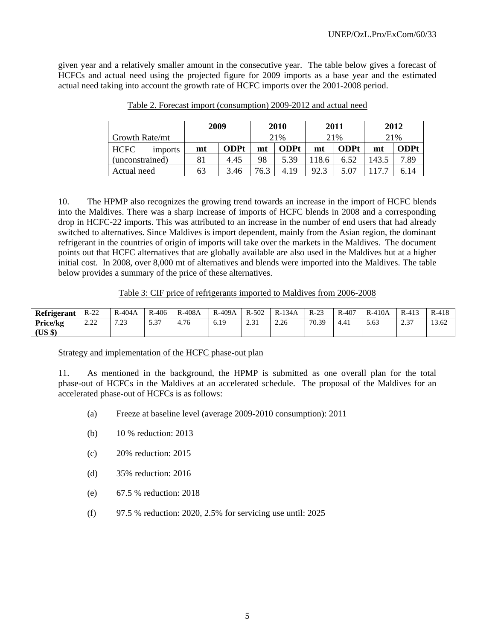given year and a relatively smaller amount in the consecutive year. The table below gives a forecast of HCFCs and actual need using the projected figure for 2009 imports as a base year and the estimated actual need taking into account the growth rate of HCFC imports over the 2001-2008 period.

|                               | 2009 |             | 2010 |             | 2011  |             | 2012  |             |
|-------------------------------|------|-------------|------|-------------|-------|-------------|-------|-------------|
| Growth Rate/mt                |      |             | 21%  |             | 21%   |             | 21%   |             |
| <b>HCFC</b><br><i>imports</i> | mt   | <b>ODPt</b> | mt   | <b>ODPt</b> | mt    | <b>ODPt</b> | mt    | <b>ODPt</b> |
| (unconstrained)               | 81   | 4.45        | 98   | 5.39        | 118.6 | 6.52        | 143.5 | 7.89        |
| Actual need                   | 63   | 3.46        | 76.3 | 4.19        | 92.3  | 5.07        |       | 6.14        |

Table 2. Forecast import (consumption) 2009-2012 and actual need

10. The HPMP also recognizes the growing trend towards an increase in the import of HCFC blends into the Maldives. There was a sharp increase of imports of HCFC blends in 2008 and a corresponding drop in HCFC-22 imports. This was attributed to an increase in the number of end users that had already switched to alternatives. Since Maldives is import dependent, mainly from the Asian region, the dominant refrigerant in the countries of origin of imports will take over the markets in the Maldives. The document points out that HCFC alternatives that are globally available are also used in the Maldives but at a higher initial cost. In 2008, over 8,000 mt of alternatives and blends were imported into the Maldives. The table below provides a summary of the price of these alternatives.

Table 3: CIF price of refrigerants imported to Maldives from 2006-2008

| Refrigerant         | $R-22$     | $R-404A$           | $R-406$                        | R-408A | $R-409A$ | $R - 502$    | 134A<br>$R-1$ | $R-23$ | $R-407$ | $R-410A$ | $R-413$     | $R-418$ |
|---------------------|------------|--------------------|--------------------------------|--------|----------|--------------|---------------|--------|---------|----------|-------------|---------|
| Price/kg<br>(US \$) | 22<br>2.LL | $\sqrt{2}$<br>رے . | $\sim$ 0.7<br>5.5 <sub>1</sub> | 4.76   | 6.19     | 2.21<br>⊥ ب⊿ | 2.26          | 70.39  | 4.41    | 5.63     | C 27<br>د.ء | 13.62   |

#### Strategy and implementation of the HCFC phase-out plan

11. As mentioned in the background, the HPMP is submitted as one overall plan for the total phase-out of HCFCs in the Maldives at an accelerated schedule. The proposal of the Maldives for an accelerated phase-out of HCFCs is as follows:

- (a) Freeze at baseline level (average 2009-2010 consumption): 2011
- (b) 10 % reduction: 2013
- (c) 20% reduction: 2015
- (d) 35% reduction: 2016
- (e) 67.5 % reduction: 2018
- (f) 97.5 % reduction: 2020, 2.5% for servicing use until: 2025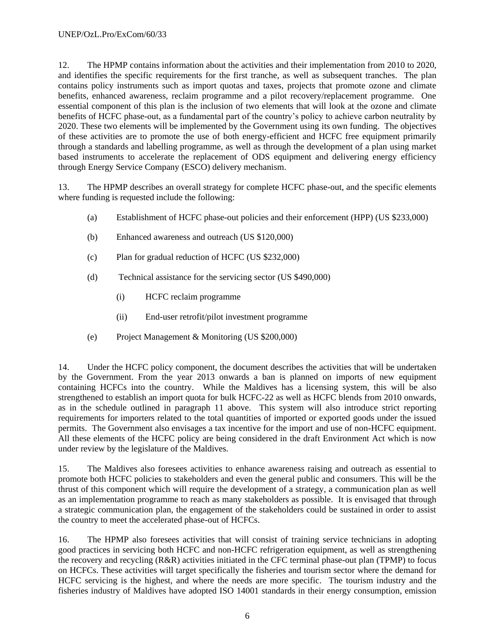12. The HPMP contains information about the activities and their implementation from 2010 to 2020, and identifies the specific requirements for the first tranche, as well as subsequent tranches. The plan contains policy instruments such as import quotas and taxes, projects that promote ozone and climate benefits, enhanced awareness, reclaim programme and a pilot recovery/replacement programme. One essential component of this plan is the inclusion of two elements that will look at the ozone and climate benefits of HCFC phase-out, as a fundamental part of the country's policy to achieve carbon neutrality by 2020. These two elements will be implemented by the Government using its own funding. The objectives of these activities are to promote the use of both energy-efficient and HCFC free equipment primarily through a standards and labelling programme, as well as through the development of a plan using market based instruments to accelerate the replacement of ODS equipment and delivering energy efficiency through Energy Service Company (ESCO) delivery mechanism.

13. The HPMP describes an overall strategy for complete HCFC phase-out, and the specific elements where funding is requested include the following:

- (a) Establishment of HCFC phase-out policies and their enforcement (HPP) (US \$233,000)
- (b) Enhanced awareness and outreach (US \$120,000)
- (c) Plan for gradual reduction of HCFC (US \$232,000)
- (d) Technical assistance for the servicing sector (US \$490,000)
	- (i) HCFC reclaim programme
	- (ii) End-user retrofit/pilot investment programme
- (e) Project Management & Monitoring (US \$200,000)

14. Under the HCFC policy component, the document describes the activities that will be undertaken by the Government. From the year 2013 onwards a ban is planned on imports of new equipment containing HCFCs into the country. While the Maldives has a licensing system, this will be also strengthened to establish an import quota for bulk HCFC-22 as well as HCFC blends from 2010 onwards, as in the schedule outlined in paragraph 11 above. This system will also introduce strict reporting requirements for importers related to the total quantities of imported or exported goods under the issued permits. The Government also envisages a tax incentive for the import and use of non-HCFC equipment. All these elements of the HCFC policy are being considered in the draft Environment Act which is now under review by the legislature of the Maldives.

15. The Maldives also foresees activities to enhance awareness raising and outreach as essential to promote both HCFC policies to stakeholders and even the general public and consumers. This will be the thrust of this component which will require the development of a strategy, a communication plan as well as an implementation programme to reach as many stakeholders as possible. It is envisaged that through a strategic communication plan, the engagement of the stakeholders could be sustained in order to assist the country to meet the accelerated phase-out of HCFCs.

16. The HPMP also foresees activities that will consist of training service technicians in adopting good practices in servicing both HCFC and non-HCFC refrigeration equipment, as well as strengthening the recovery and recycling (R&R) activities initiated in the CFC terminal phase-out plan (TPMP) to focus on HCFCs. These activities will target specifically the fisheries and tourism sector where the demand for HCFC servicing is the highest, and where the needs are more specific. The tourism industry and the fisheries industry of Maldives have adopted ISO 14001 standards in their energy consumption, emission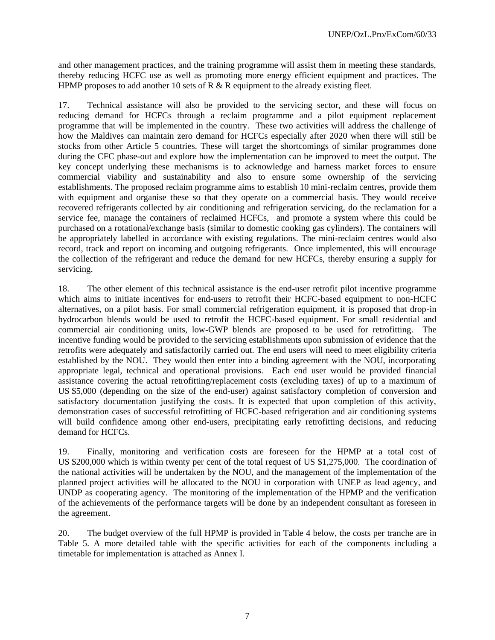and other management practices, and the training programme will assist them in meeting these standards, thereby reducing HCFC use as well as promoting more energy efficient equipment and practices. The HPMP proposes to add another 10 sets of R & R equipment to the already existing fleet.

17. Technical assistance will also be provided to the servicing sector, and these will focus on reducing demand for HCFCs through a reclaim programme and a pilot equipment replacement programme that will be implemented in the country. These two activities will address the challenge of how the Maldives can maintain zero demand for HCFCs especially after 2020 when there will still be stocks from other Article 5 countries. These will target the shortcomings of similar programmes done during the CFC phase-out and explore how the implementation can be improved to meet the output. The key concept underlying these mechanisms is to acknowledge and harness market forces to ensure commercial viability and sustainability and also to ensure some ownership of the servicing establishments. The proposed reclaim programme aims to establish 10 mini-reclaim centres, provide them with equipment and organise these so that they operate on a commercial basis. They would receive recovered refrigerants collected by air conditioning and refrigeration servicing, do the reclamation for a service fee, manage the containers of reclaimed HCFCs, and promote a system where this could be purchased on a rotational/exchange basis (similar to domestic cooking gas cylinders). The containers will be appropriately labelled in accordance with existing regulations. The mini-reclaim centres would also record, track and report on incoming and outgoing refrigerants. Once implemented, this will encourage the collection of the refrigerant and reduce the demand for new HCFCs, thereby ensuring a supply for servicing.

18. The other element of this technical assistance is the end-user retrofit pilot incentive programme which aims to initiate incentives for end-users to retrofit their HCFC-based equipment to non-HCFC alternatives, on a pilot basis. For small commercial refrigeration equipment, it is proposed that drop-in hydrocarbon blends would be used to retrofit the HCFC-based equipment. For small residential and commercial air conditioning units, low-GWP blends are proposed to be used for retrofitting. The incentive funding would be provided to the servicing establishments upon submission of evidence that the retrofits were adequately and satisfactorily carried out. The end users will need to meet eligibility criteria established by the NOU. They would then enter into a binding agreement with the NOU, incorporating appropriate legal, technical and operational provisions. Each end user would be provided financial assistance covering the actual retrofitting/replacement costs (excluding taxes) of up to a maximum of US \$5,000 (depending on the size of the end-user) against satisfactory completion of conversion and satisfactory documentation justifying the costs. It is expected that upon completion of this activity, demonstration cases of successful retrofitting of HCFC-based refrigeration and air conditioning systems will build confidence among other end-users, precipitating early retrofitting decisions, and reducing demand for HCFCs.

19. Finally, monitoring and verification costs are foreseen for the HPMP at a total cost of US \$200,000 which is within twenty per cent of the total request of US \$1,275,000. The coordination of the national activities will be undertaken by the NOU, and the management of the implementation of the planned project activities will be allocated to the NOU in corporation with UNEP as lead agency, and UNDP as cooperating agency. The monitoring of the implementation of the HPMP and the verification of the achievements of the performance targets will be done by an independent consultant as foreseen in the agreement.

20. The budget overview of the full HPMP is provided in Table 4 below, the costs per tranche are in Table 5. A more detailed table with the specific activities for each of the components including a timetable for implementation is attached as Annex I.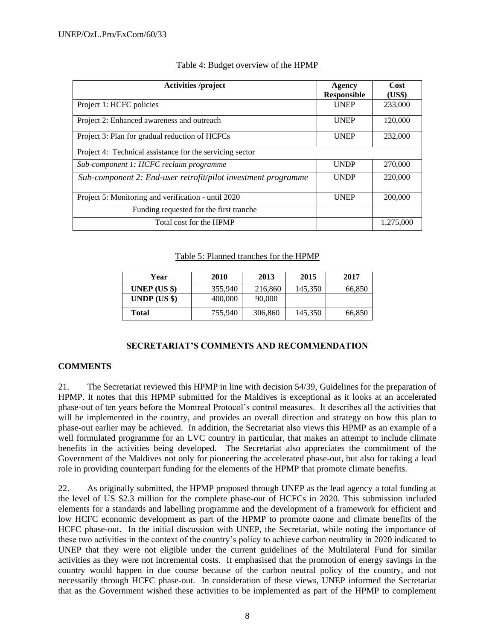| <b>Activities</b> /project                                    | Agency<br><b>Responsible</b> | Cost<br>(US\$) |
|---------------------------------------------------------------|------------------------------|----------------|
| Project 1: HCFC policies                                      | <b>UNEP</b>                  | 233,000        |
| Project 2: Enhanced awareness and outreach                    | <b>UNEP</b>                  | 120,000        |
| Project 3: Plan for gradual reduction of HCFCs                | <b>UNEP</b>                  | 232,000        |
| Project 4: Technical assistance for the servicing sector      |                              |                |
| Sub-component 1: HCFC reclaim programme                       | <b>UNDP</b>                  | 270,000        |
| Sub-component 2: End-user retrofit/pilot investment programme | <b>UNDP</b>                  | 220,000        |
| Project 5: Monitoring and verification - until 2020           | <b>UNEP</b>                  | 200,000        |
| Funding requested for the first tranche                       |                              |                |
| Total cost for the HPMP                                       |                              | 1,275,000      |

## Table 4: Budget overview of the HPMP

Table 5: Planned tranches for the HPMP

| Year         | 2010    | 2013    | 2015    | 2017   |
|--------------|---------|---------|---------|--------|
| UNEP $(US \$ | 355,940 | 216,860 | 145,350 | 66,850 |
| UNDP (US \$) | 400,000 | 90,000  |         |        |
| Total        | 755,940 | 306,860 | 145,350 | 66,850 |

## **SECRETARIAT'S COMMENTS AND RECOMMENDATION**

## **COMMENTS**

21. The Secretariat reviewed this HPMP in line with decision 54/39, Guidelines for the preparation of HPMP. It notes that this HPMP submitted for the Maldives is exceptional as it looks at an accelerated phase-out of ten years before the Montreal Protocol's control measures. It describes all the activities that will be implemented in the country, and provides an overall direction and strategy on how this plan to phase-out earlier may be achieved. In addition, the Secretariat also views this HPMP as an example of a well formulated programme for an LVC country in particular, that makes an attempt to include climate benefits in the activities being developed. The Secretariat also appreciates the commitment of the Government of the Maldives not only for pioneering the accelerated phase-out, but also for taking a lead role in providing counterpart funding for the elements of the HPMP that promote climate benefits.

22. As originally submitted, the HPMP proposed through UNEP as the lead agency a total funding at the level of US \$2.3 million for the complete phase-out of HCFCs in 2020. This submission included elements for a standards and labelling programme and the development of a framework for efficient and low HCFC economic development as part of the HPMP to promote ozone and climate benefits of the HCFC phase-out. In the initial discussion with UNEP, the Secretariat, while noting the importance of these two activities in the context of the country's policy to achieve carbon neutrality in 2020 indicated to UNEP that they were not eligible under the current guidelines of the Multilateral Fund for similar activities as they were not incremental costs. It emphasised that the promotion of energy savings in the country would happen in due course because of the carbon neutral policy of the country, and not necessarily through HCFC phase-out. In consideration of these views, UNEP informed the Secretariat that as the Government wished these activities to be implemented as part of the HPMP to complement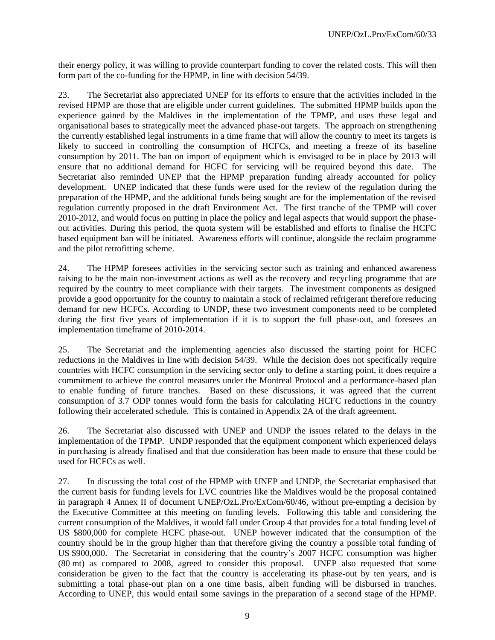their energy policy, it was willing to provide counterpart funding to cover the related costs. This will then form part of the co-funding for the HPMP, in line with decision 54/39.

23. The Secretariat also appreciated UNEP for its efforts to ensure that the activities included in the revised HPMP are those that are eligible under current guidelines. The submitted HPMP builds upon the experience gained by the Maldives in the implementation of the TPMP, and uses these legal and organisational bases to strategically meet the advanced phase-out targets. The approach on strengthening the currently established legal instruments in a time frame that will allow the country to meet its targets is likely to succeed in controlling the consumption of HCFCs, and meeting a freeze of its baseline consumption by 2011. The ban on import of equipment which is envisaged to be in place by 2013 will ensure that no additional demand for HCFC for servicing will be required beyond this date. The Secretariat also reminded UNEP that the HPMP preparation funding already accounted for policy development. UNEP indicated that these funds were used for the review of the regulation during the preparation of the HPMP, and the additional funds being sought are for the implementation of the revised regulation currently proposed in the draft Environment Act. The first tranche of the TPMP will cover 2010-2012, and would focus on putting in place the policy and legal aspects that would support the phaseout activities. During this period, the quota system will be established and efforts to finalise the HCFC based equipment ban will be initiated. Awareness efforts will continue, alongside the reclaim programme and the pilot retrofitting scheme.

24. The HPMP foresees activities in the servicing sector such as training and enhanced awareness raising to be the main non-investment actions as well as the recovery and recycling programme that are required by the country to meet compliance with their targets. The investment components as designed provide a good opportunity for the country to maintain a stock of reclaimed refrigerant therefore reducing demand for new HCFCs. According to UNDP, these two investment components need to be completed during the first five years of implementation if it is to support the full phase-out, and foresees an implementation timeframe of 2010-2014.

25. The Secretariat and the implementing agencies also discussed the starting point for HCFC reductions in the Maldives in line with decision 54/39. While the decision does not specifically require countries with HCFC consumption in the servicing sector only to define a starting point, it does require a commitment to achieve the control measures under the Montreal Protocol and a performance-based plan to enable funding of future tranches. Based on these discussions, it was agreed that the current consumption of 3.7 ODP tonnes would form the basis for calculating HCFC reductions in the country following their accelerated schedule. This is contained in Appendix 2A of the draft agreement.

26. The Secretariat also discussed with UNEP and UNDP the issues related to the delays in the implementation of the TPMP. UNDP responded that the equipment component which experienced delays in purchasing is already finalised and that due consideration has been made to ensure that these could be used for HCFCs as well.

27. In discussing the total cost of the HPMP with UNEP and UNDP, the Secretariat emphasised that the current basis for funding levels for LVC countries like the Maldives would be the proposal contained in paragraph 4 Annex II of document UNEP/OzL.Pro/ExCom/60/46, without pre-empting a decision by the Executive Committee at this meeting on funding levels. Following this table and considering the current consumption of the Maldives, it would fall under Group 4 that provides for a total funding level of US \$800,000 for complete HCFC phase-out. UNEP however indicated that the consumption of the country should be in the group higher than that therefore giving the country a possible total funding of US \$900,000. The Secretariat in considering that the country's 2007 HCFC consumption was higher (80 mt) as compared to 2008, agreed to consider this proposal. UNEP also requested that some consideration be given to the fact that the country is accelerating its phase-out by ten years, and is submitting a total phase-out plan on a one time basis, albeit funding will be disbursed in tranches. According to UNEP, this would entail some savings in the preparation of a second stage of the HPMP.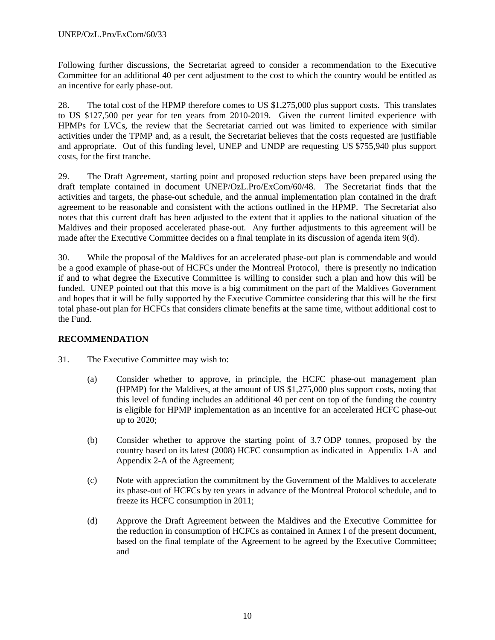Following further discussions, the Secretariat agreed to consider a recommendation to the Executive Committee for an additional 40 per cent adjustment to the cost to which the country would be entitled as an incentive for early phase-out.

28. The total cost of the HPMP therefore comes to US \$1,275,000 plus support costs. This translates to US \$127,500 per year for ten years from 2010-2019. Given the current limited experience with HPMPs for LVCs, the review that the Secretariat carried out was limited to experience with similar activities under the TPMP and, as a result, the Secretariat believes that the costs requested are justifiable and appropriate. Out of this funding level, UNEP and UNDP are requesting US \$755,940 plus support costs, for the first tranche.

29. The Draft Agreement, starting point and proposed reduction steps have been prepared using the draft template contained in document UNEP/OzL.Pro/ExCom/60/48. The Secretariat finds that the activities and targets, the phase-out schedule, and the annual implementation plan contained in the draft agreement to be reasonable and consistent with the actions outlined in the HPMP. The Secretariat also notes that this current draft has been adjusted to the extent that it applies to the national situation of the Maldives and their proposed accelerated phase-out. Any further adjustments to this agreement will be made after the Executive Committee decides on a final template in its discussion of agenda item 9(d).

30. While the proposal of the Maldives for an accelerated phase-out plan is commendable and would be a good example of phase-out of HCFCs under the Montreal Protocol, there is presently no indication if and to what degree the Executive Committee is willing to consider such a plan and how this will be funded. UNEP pointed out that this move is a big commitment on the part of the Maldives Government and hopes that it will be fully supported by the Executive Committee considering that this will be the first total phase-out plan for HCFCs that considers climate benefits at the same time, without additional cost to the Fund.

## **RECOMMENDATION**

- 31. The Executive Committee may wish to:
	- (a) Consider whether to approve, in principle, the HCFC phase-out management plan (HPMP) for the Maldives, at the amount of US \$1,275,000 plus support costs, noting that this level of funding includes an additional 40 per cent on top of the funding the country is eligible for HPMP implementation as an incentive for an accelerated HCFC phase-out up to 2020;
	- (b) Consider whether to approve the starting point of 3.7 ODP tonnes, proposed by the country based on its latest (2008) HCFC consumption as indicated in Appendix 1-A and Appendix 2-A of the Agreement;
	- (c) Note with appreciation the commitment by the Government of the Maldives to accelerate its phase-out of HCFCs by ten years in advance of the Montreal Protocol schedule, and to freeze its HCFC consumption in 2011;
	- (d) Approve the Draft Agreement between the Maldives and the Executive Committee for the reduction in consumption of HCFCs as contained in Annex I of the present document, based on the final template of the Agreement to be agreed by the Executive Committee; and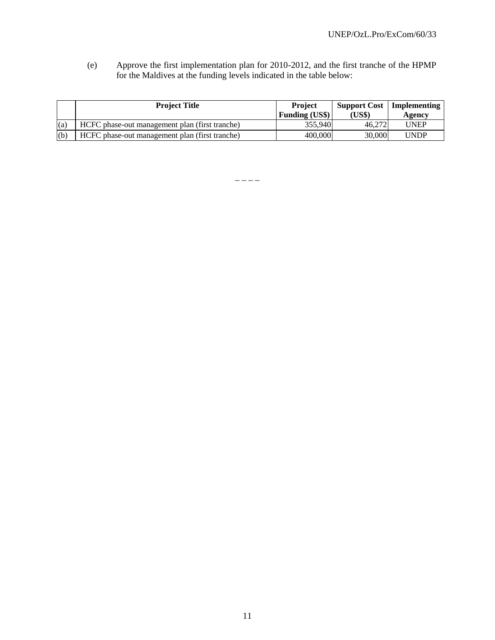(e) Approve the first implementation plan for 2010-2012, and the first tranche of the HPMP for the Maldives at the funding levels indicated in the table below:

|     | <b>Project Title</b>                           | <b>Project</b><br><b>Funding (US\$)</b> | <b>Support Cost</b>   Implementing<br>(US\$) | Agency      |  |
|-----|------------------------------------------------|-----------------------------------------|----------------------------------------------|-------------|--|
| (a) | HCFC phase-out management plan (first tranche) | 355,940                                 | 46,272                                       | <b>UNEP</b> |  |
| (b) | HCFC phase-out management plan (first tranche) | 400,000                                 | 30,000                                       | <b>UNDP</b> |  |

 $-$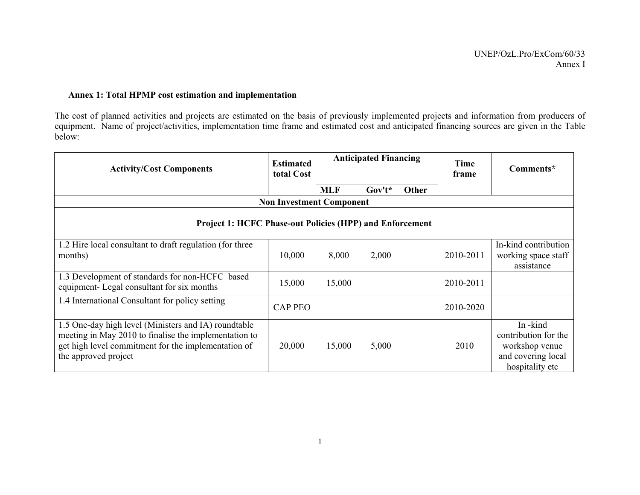## **Annex 1: Total HPMP cost estimation and implementation**

The cost of planned activities and projects are estimated on the basis of previously implemented projects and information from producers of equipment. Name of project/activities, implementation time frame and estimated cost and anticipated financing sources are given in the Table below:

| <b>Activity/Cost Components</b>                                                                                                                                                              | <b>Estimated</b><br>total Cost  |            | <b>Anticipated Financing</b> |              | <b>Time</b><br>frame | Comments*                                                                                  |  |  |  |
|----------------------------------------------------------------------------------------------------------------------------------------------------------------------------------------------|---------------------------------|------------|------------------------------|--------------|----------------------|--------------------------------------------------------------------------------------------|--|--|--|
|                                                                                                                                                                                              |                                 | <b>MLF</b> | $Gov't^*$                    | <b>Other</b> |                      |                                                                                            |  |  |  |
|                                                                                                                                                                                              | <b>Non Investment Component</b> |            |                              |              |                      |                                                                                            |  |  |  |
| <b>Project 1: HCFC Phase-out Policies (HPP) and Enforcement</b>                                                                                                                              |                                 |            |                              |              |                      |                                                                                            |  |  |  |
| 1.2 Hire local consultant to draft regulation (for three<br>months)                                                                                                                          | 10,000                          | 8,000      | 2,000                        |              | 2010-2011            | In-kind contribution<br>working space staff<br>assistance                                  |  |  |  |
| 1.3 Development of standards for non-HCFC based<br>equipment- Legal consultant for six months                                                                                                | 15,000                          | 15,000     |                              |              | 2010-2011            |                                                                                            |  |  |  |
| 1.4 International Consultant for policy setting                                                                                                                                              | <b>CAP PEO</b>                  |            |                              |              | 2010-2020            |                                                                                            |  |  |  |
| 1.5 One-day high level (Ministers and IA) roundtable<br>meeting in May 2010 to finalise the implementation to<br>get high level commitment for the implementation of<br>the approved project | 20,000                          | 15,000     | 5,000                        |              | 2010                 | In-kind<br>contribution for the<br>workshop venue<br>and covering local<br>hospitality etc |  |  |  |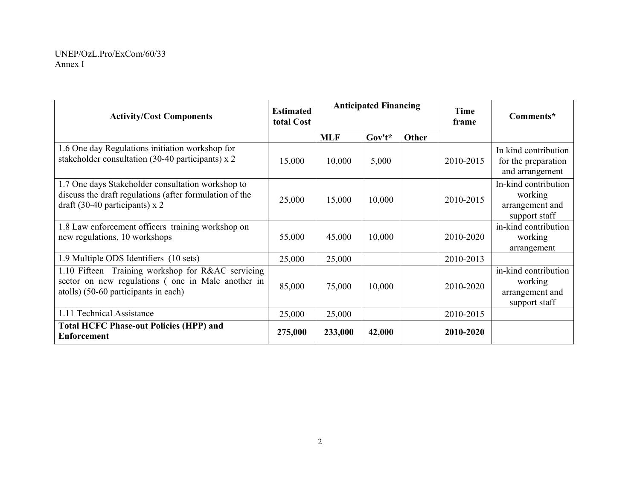| <b>Activity/Cost Components</b>                                                                                                                  | <b>Estimated</b><br>total Cost | <b>Anticipated Financing</b> |          |       | <b>Time</b><br>frame | Comments*                                                           |
|--------------------------------------------------------------------------------------------------------------------------------------------------|--------------------------------|------------------------------|----------|-------|----------------------|---------------------------------------------------------------------|
|                                                                                                                                                  |                                | <b>MLF</b>                   | $Gov't*$ | Other |                      |                                                                     |
| 1.6 One day Regulations initiation workshop for<br>stakeholder consultation (30-40 participants) x 2                                             | 15,000                         | 10,000                       | 5,000    |       | 2010-2015            | In kind contribution<br>for the preparation<br>and arrangement      |
| 1.7 One days Stakeholder consultation workshop to<br>discuss the draft regulations (after formulation of the<br>draft (30-40 participants) $x$ 2 | 25,000                         | 15,000                       | 10,000   |       | 2010-2015            | In-kind contribution<br>working<br>arrangement and<br>support staff |
| 1.8 Law enforcement officers training workshop on<br>new regulations, 10 workshops                                                               | 55,000                         | 45,000                       | 10,000   |       | 2010-2020            | in-kind contribution<br>working<br>arrangement                      |
| 1.9 Multiple ODS Identifiers (10 sets)                                                                                                           | 25,000                         | 25,000                       |          |       | 2010-2013            |                                                                     |
| 1.10 Fifteen Training workshop for R&AC servicing<br>sector on new regulations (one in Male another in<br>atolls) (50-60 participants in each)   | 85,000                         | 75,000                       | 10,000   |       | 2010-2020            | in-kind contribution<br>working<br>arrangement and<br>support staff |
| 1.11 Technical Assistance                                                                                                                        | 25,000                         | 25,000                       |          |       | 2010-2015            |                                                                     |
| <b>Total HCFC Phase-out Policies (HPP) and</b><br><b>Enforcement</b>                                                                             | 275,000                        | 233,000                      | 42,000   |       | 2010-2020            |                                                                     |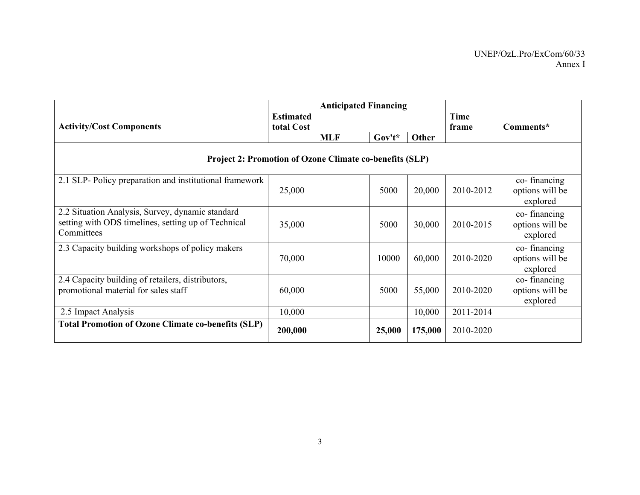|                                                                   | <b>Estimated</b>                                               | <b>Anticipated Financing</b> |           |         | Time      |                             |  |  |  |  |
|-------------------------------------------------------------------|----------------------------------------------------------------|------------------------------|-----------|---------|-----------|-----------------------------|--|--|--|--|
| <b>Activity/Cost Components</b>                                   | total Cost                                                     |                              |           |         | frame     | Comments*                   |  |  |  |  |
|                                                                   |                                                                | <b>MLF</b>                   | $Gov't^*$ | Other   |           |                             |  |  |  |  |
|                                                                   | <b>Project 2: Promotion of Ozone Climate co-benefits (SLP)</b> |                              |           |         |           |                             |  |  |  |  |
| 2.1 SLP-Policy preparation and institutional framework            |                                                                |                              |           |         |           | co-financing                |  |  |  |  |
|                                                                   | 25,000                                                         |                              | 5000      | 20,000  | 2010-2012 | options will be<br>explored |  |  |  |  |
| 2.2 Situation Analysis, Survey, dynamic standard                  |                                                                |                              |           |         |           | co-financing                |  |  |  |  |
| setting with ODS timelines, setting up of Technical<br>Committees | 35,000                                                         |                              | 5000      | 30,000  | 2010-2015 | options will be<br>explored |  |  |  |  |
| 2.3 Capacity building workshops of policy makers                  |                                                                |                              |           |         |           | co-financing                |  |  |  |  |
|                                                                   | 70,000                                                         |                              | 10000     | 60,000  | 2010-2020 | options will be<br>explored |  |  |  |  |
| 2.4 Capacity building of retailers, distributors,                 |                                                                |                              |           |         |           | co-financing                |  |  |  |  |
| promotional material for sales staff                              | 60,000                                                         |                              | 5000      | 55,000  | 2010-2020 | options will be             |  |  |  |  |
|                                                                   |                                                                |                              |           |         |           | explored                    |  |  |  |  |
| 2.5 Impact Analysis                                               | 10,000                                                         |                              |           | 10,000  | 2011-2014 |                             |  |  |  |  |
| <b>Total Promotion of Ozone Climate co-benefits (SLP)</b>         | 200,000                                                        |                              | 25,000    | 175,000 | 2010-2020 |                             |  |  |  |  |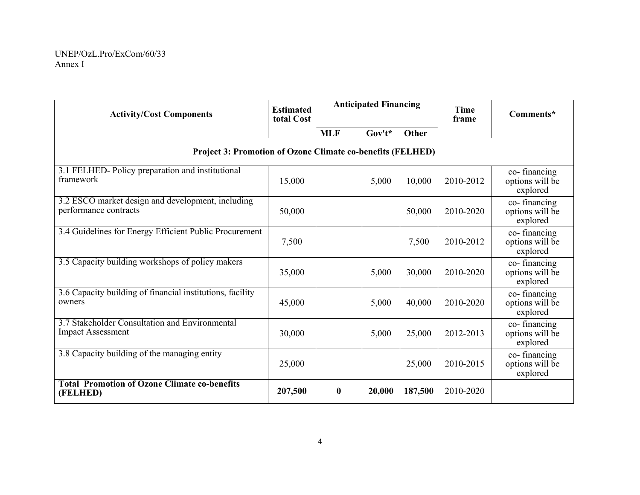| <b>Activity/Cost Components</b>                                            | <b>Estimated</b><br>total Cost | <b>Anticipated Financing</b> |           |         | <b>Time</b><br>frame | Comments*                                   |  |  |  |  |
|----------------------------------------------------------------------------|--------------------------------|------------------------------|-----------|---------|----------------------|---------------------------------------------|--|--|--|--|
|                                                                            |                                | <b>MLF</b>                   | $Gov't^*$ | Other   |                      |                                             |  |  |  |  |
| <b>Project 3: Promotion of Ozone Climate co-benefits (FELHED)</b>          |                                |                              |           |         |                      |                                             |  |  |  |  |
| 3.1 FELHED-Policy preparation and institutional<br>framework               | 15,000                         |                              | 5,000     | 10,000  | 2010-2012            | co-financing<br>options will be<br>explored |  |  |  |  |
| 3.2 ESCO market design and development, including<br>performance contracts | 50,000                         |                              |           | 50,000  | 2010-2020            | co-financing<br>options will be<br>explored |  |  |  |  |
| 3.4 Guidelines for Energy Efficient Public Procurement                     | 7,500                          |                              |           | 7,500   | 2010-2012            | co-financing<br>options will be<br>explored |  |  |  |  |
| 3.5 Capacity building workshops of policy makers                           | 35,000                         |                              | 5,000     | 30,000  | 2010-2020            | co-financing<br>options will be<br>explored |  |  |  |  |
| 3.6 Capacity building of financial institutions, facility<br>owners        | 45,000                         |                              | 5,000     | 40,000  | 2010-2020            | co-financing<br>options will be<br>explored |  |  |  |  |
| 3.7 Stakeholder Consultation and Environmental<br><b>Impact Assessment</b> | 30,000                         |                              | 5,000     | 25,000  | 2012-2013            | co-financing<br>options will be<br>explored |  |  |  |  |
| 3.8 Capacity building of the managing entity                               | 25,000                         |                              |           | 25,000  | 2010-2015            | co-financing<br>options will be<br>explored |  |  |  |  |
| <b>Total Promotion of Ozone Climate co-benefits</b><br>(FELHED)            | 207,500                        | $\bf{0}$                     | 20,000    | 187,500 | 2010-2020            |                                             |  |  |  |  |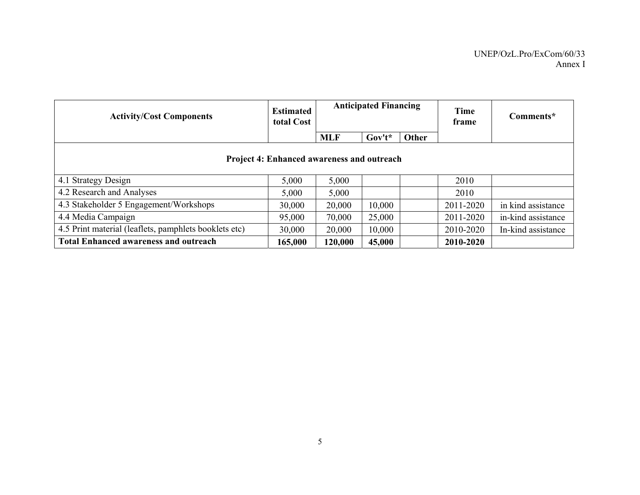| <b>Activity/Cost Components</b>                       | <b>Estimated</b><br>total Cost | <b>Anticipated Financing</b> |           |       | <b>Time</b><br>frame | Comments*          |  |
|-------------------------------------------------------|--------------------------------|------------------------------|-----------|-------|----------------------|--------------------|--|
|                                                       |                                | <b>MLF</b>                   | $Gov't^*$ | Other |                      |                    |  |
| Project 4: Enhanced awareness and outreach            |                                |                              |           |       |                      |                    |  |
| 4.1 Strategy Design                                   | 5,000                          | 5,000                        |           |       | 2010                 |                    |  |
| 4.2 Research and Analyses                             | 5,000                          | 5,000                        |           |       | 2010                 |                    |  |
| 4.3 Stakeholder 5 Engagement/Workshops                | 30,000                         | 20,000                       | 10,000    |       | 2011-2020            | in kind assistance |  |
| 4.4 Media Campaign                                    | 95,000                         | 70,000                       | 25,000    |       | 2011-2020            | in-kind assistance |  |
| 4.5 Print material (leaflets, pamphlets booklets etc) | 30,000                         | 20,000                       | 10,000    |       | 2010-2020            | In-kind assistance |  |
| <b>Total Enhanced awareness and outreach</b>          | 165,000                        | 120,000                      | 45,000    |       | 2010-2020            |                    |  |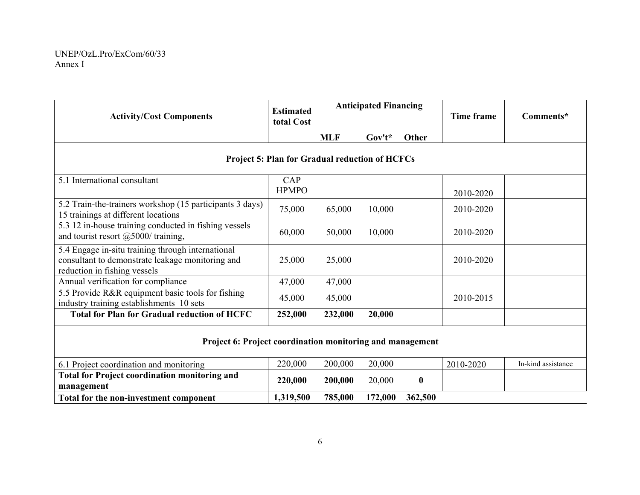| <b>Activity/Cost Components</b>                                                                                                       | <b>Estimated</b><br>total Cost | <b>Anticipated Financing</b> |          |                  | <b>Time frame</b> | Comments*          |  |  |  |  |
|---------------------------------------------------------------------------------------------------------------------------------------|--------------------------------|------------------------------|----------|------------------|-------------------|--------------------|--|--|--|--|
|                                                                                                                                       |                                | <b>MLF</b>                   | $Gov't*$ | Other            |                   |                    |  |  |  |  |
| <b>Project 5: Plan for Gradual reduction of HCFCs</b>                                                                                 |                                |                              |          |                  |                   |                    |  |  |  |  |
| 5.1 International consultant                                                                                                          | CAP<br><b>HPMPO</b>            |                              |          |                  | 2010-2020         |                    |  |  |  |  |
| 5.2 Train-the-trainers workshop (15 participants 3 days)<br>15 trainings at different locations                                       | 75,000                         | 65,000                       | 10,000   |                  | 2010-2020         |                    |  |  |  |  |
| 5.3 12 in-house training conducted in fishing vessels<br>and tourist resort $(a)$ 5000/ training,                                     | 60,000                         | 50,000                       | 10,000   |                  | 2010-2020         |                    |  |  |  |  |
| 5.4 Engage in-situ training through international<br>consultant to demonstrate leakage monitoring and<br>reduction in fishing vessels | 25,000                         | 25,000                       |          |                  | 2010-2020         |                    |  |  |  |  |
| Annual verification for compliance                                                                                                    | 47,000                         | 47,000                       |          |                  |                   |                    |  |  |  |  |
| 5.5 Provide R&R equipment basic tools for fishing<br>industry training establishments 10 sets                                         | 45,000                         | 45,000                       |          |                  | 2010-2015         |                    |  |  |  |  |
| <b>Total for Plan for Gradual reduction of HCFC</b>                                                                                   | 252,000                        | 232,000                      | 20,000   |                  |                   |                    |  |  |  |  |
| Project 6: Project coordination monitoring and management                                                                             |                                |                              |          |                  |                   |                    |  |  |  |  |
| 6.1 Project coordination and monitoring                                                                                               | 220,000                        | 200,000                      | 20,000   |                  | 2010-2020         | In-kind assistance |  |  |  |  |
| <b>Total for Project coordination monitoring and</b><br>management                                                                    | 220,000                        | 200,000                      | 20,000   | $\boldsymbol{0}$ |                   |                    |  |  |  |  |
| Total for the non-investment component                                                                                                | 1,319,500                      | 785,000                      | 172,000  | 362,500          |                   |                    |  |  |  |  |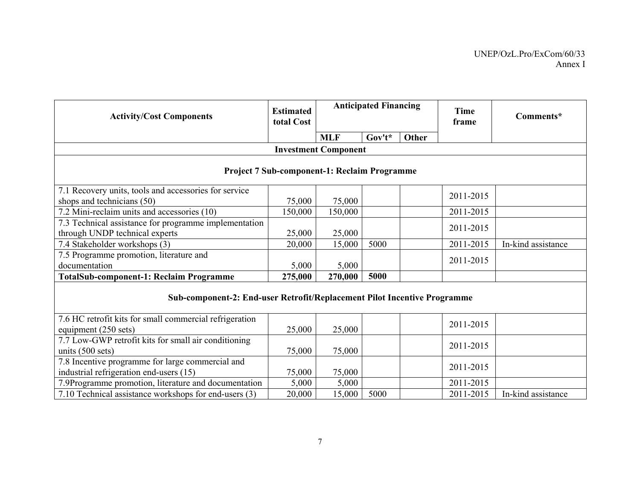| <b>Activity/Cost Components</b>                                                             | <b>Estimated</b><br>total Cost |                             | <b>Anticipated Financing</b> |       | <b>Time</b><br>frame | Comments*          |  |  |  |  |  |
|---------------------------------------------------------------------------------------------|--------------------------------|-----------------------------|------------------------------|-------|----------------------|--------------------|--|--|--|--|--|
|                                                                                             |                                | <b>MLF</b>                  | $Gov't^*$                    | Other |                      |                    |  |  |  |  |  |
|                                                                                             |                                | <b>Investment Component</b> |                              |       |                      |                    |  |  |  |  |  |
| <b>Project 7 Sub-component-1: Reclaim Programme</b>                                         |                                |                             |                              |       |                      |                    |  |  |  |  |  |
| 7.1 Recovery units, tools and accessories for service                                       |                                |                             |                              |       | 2011-2015            |                    |  |  |  |  |  |
| shops and technicians (50)                                                                  | 75,000                         | 75,000                      |                              |       |                      |                    |  |  |  |  |  |
| 7.2 Mini-reclaim units and accessories (10)                                                 | 150,000                        | 150,000                     |                              |       | 2011-2015            |                    |  |  |  |  |  |
| 7.3 Technical assistance for programme implementation                                       |                                |                             |                              |       | 2011-2015            |                    |  |  |  |  |  |
| through UNDP technical experts                                                              | 25,000                         | 25,000                      |                              |       |                      |                    |  |  |  |  |  |
| 7.4 Stakeholder workshops (3)                                                               | 20,000                         | 15,000                      | 5000                         |       | 2011-2015            | In-kind assistance |  |  |  |  |  |
| 7.5 Programme promotion, literature and                                                     |                                |                             |                              |       | 2011-2015            |                    |  |  |  |  |  |
| documentation                                                                               | 5,000                          | 5,000                       |                              |       |                      |                    |  |  |  |  |  |
| <b>TotalSub-component-1: Reclaim Programme</b>                                              | 275,000                        | 270,000                     | 5000                         |       |                      |                    |  |  |  |  |  |
| Sub-component-2: End-user Retrofit/Replacement Pilot Incentive Programme                    |                                |                             |                              |       |                      |                    |  |  |  |  |  |
| 7.6 HC retrofit kits for small commercial refrigeration<br>equipment (250 sets)             | 25,000                         | 25,000                      |                              |       | 2011-2015            |                    |  |  |  |  |  |
| 7.7 Low-GWP retrofit kits for small air conditioning<br>units $(500 \text{ sets})$          | 75,000                         | 75,000                      |                              |       | 2011-2015            |                    |  |  |  |  |  |
| 7.8 Incentive programme for large commercial and<br>industrial refrigeration end-users (15) | 75,000                         | 75,000                      |                              |       | 2011-2015            |                    |  |  |  |  |  |
| 7.9Programme promotion, literature and documentation                                        | 5,000                          | 5,000                       |                              |       | 2011-2015            |                    |  |  |  |  |  |
| 7.10 Technical assistance workshops for end-users (3)                                       | 20,000                         | 15,000                      | 5000                         |       | 2011-2015            | In-kind assistance |  |  |  |  |  |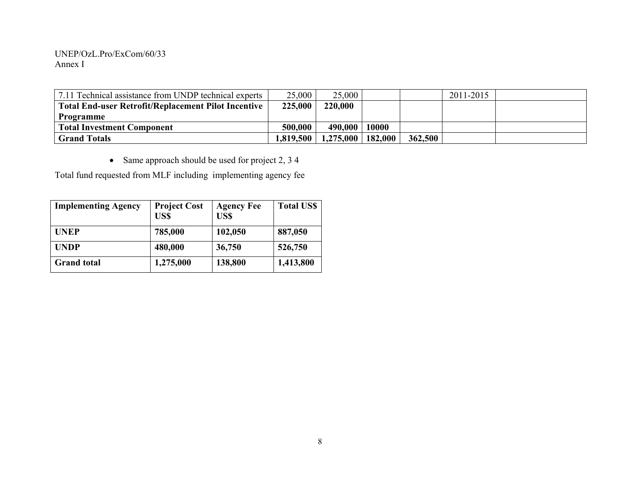### UNEP/OzL.Pro/ExCom/60/33 Annex I

| 7.11 Technical assistance from UNDP technical experts      | 25,000    | 25,000                |       |         | 2011-2015 |  |
|------------------------------------------------------------|-----------|-----------------------|-------|---------|-----------|--|
| <b>Total End-user Retrofit/Replacement Pilot Incentive</b> | 225,000   | 220,000               |       |         |           |  |
| Programme                                                  |           |                       |       |         |           |  |
| <b>Total Investment Component</b>                          | 500,000   | 490,000               | 10000 |         |           |  |
| <b>Grand Totals</b>                                        | 1.819.500 | $1,275,000$   182,000 |       | 362,500 |           |  |

• Same approach should be used for project 2, 3 4

Total fund requested from MLF including implementing agency fee

| <b>Implementing Agency</b> | <b>Project Cost</b><br>US\$ | <b>Agency Fee</b><br>US\$ | <b>Total US\$</b> |
|----------------------------|-----------------------------|---------------------------|-------------------|
| <b>UNEP</b>                | 785,000                     | 102,050                   | 887,050           |
| <b>UNDP</b>                | 480,000                     | 36,750                    | 526,750           |
| <b>Grand</b> total         | 1,275,000                   | 138,800                   | 1,413,800         |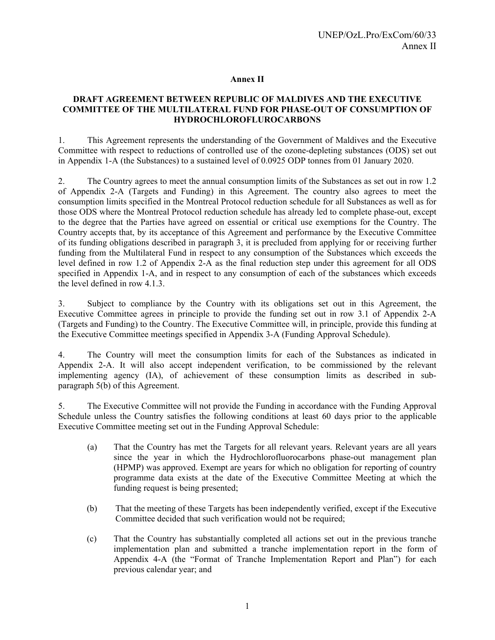## **Annex II**

## **DRAFT AGREEMENT BETWEEN REPUBLIC OF MALDIVES AND THE EXECUTIVE COMMITTEE OF THE MULTILATERAL FUND FOR PHASE-OUT OF CONSUMPTION OF HYDROCHLOROFLUROCARBONS**

1. This Agreement represents the understanding of the Government of Maldives and the Executive Committee with respect to reductions of controlled use of the ozone-depleting substances (ODS) set out in Appendix 1-A (the Substances) to a sustained level of 0.0925 ODP tonnes from 01 January 2020.

2. The Country agrees to meet the annual consumption limits of the Substances as set out in row 1.2 of Appendix 2-A (Targets and Funding) in this Agreement. The country also agrees to meet the consumption limits specified in the Montreal Protocol reduction schedule for all Substances as well as for those ODS where the Montreal Protocol reduction schedule has already led to complete phase-out, except to the degree that the Parties have agreed on essential or critical use exemptions for the Country. The Country accepts that, by its acceptance of this Agreement and performance by the Executive Committee of its funding obligations described in paragraph 3, it is precluded from applying for or receiving further funding from the Multilateral Fund in respect to any consumption of the Substances which exceeds the level defined in row 1.2 of Appendix 2-A as the final reduction step under this agreement for all ODS specified in Appendix 1-A, and in respect to any consumption of each of the substances which exceeds the level defined in row 4.1.3.

3. Subject to compliance by the Country with its obligations set out in this Agreement, the Executive Committee agrees in principle to provide the funding set out in row 3.1 of Appendix 2-A (Targets and Funding) to the Country. The Executive Committee will, in principle, provide this funding at the Executive Committee meetings specified in Appendix 3-A (Funding Approval Schedule).

4. The Country will meet the consumption limits for each of the Substances as indicated in Appendix 2-A. It will also accept independent verification, to be commissioned by the relevant implementing agency (IA), of achievement of these consumption limits as described in subparagraph 5(b) of this Agreement.

5. The Executive Committee will not provide the Funding in accordance with the Funding Approval Schedule unless the Country satisfies the following conditions at least 60 days prior to the applicable Executive Committee meeting set out in the Funding Approval Schedule:

- (a) That the Country has met the Targets for all relevant years. Relevant years are all years since the year in which the Hydrochlorofluorocarbons phase-out management plan (HPMP) was approved. Exempt are years for which no obligation for reporting of country programme data exists at the date of the Executive Committee Meeting at which the funding request is being presented;
- (b) That the meeting of these Targets has been independently verified, except if the Executive Committee decided that such verification would not be required;
- (c) That the Country has substantially completed all actions set out in the previous tranche implementation plan and submitted a tranche implementation report in the form of Appendix 4-A (the "Format of Tranche Implementation Report and Plan") for each previous calendar year; and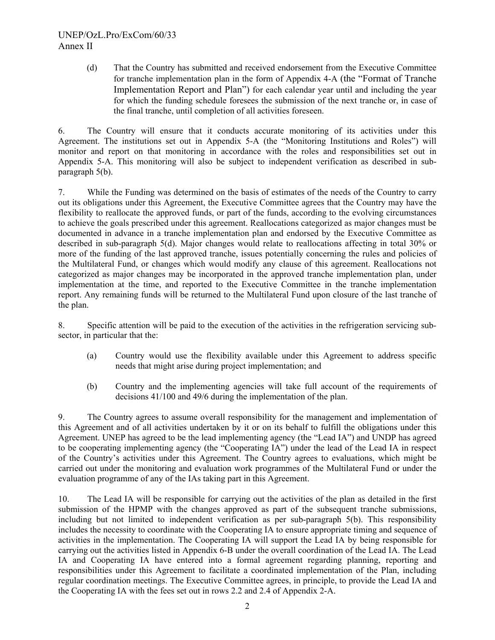# UNEP/OzL.Pro/ExCom/60/33 Annex II

(d) That the Country has submitted and received endorsement from the Executive Committee for tranche implementation plan in the form of Appendix 4-A (the "Format of Tranche Implementation Report and Plan") for each calendar year until and including the year for which the funding schedule foresees the submission of the next tranche or, in case of the final tranche, until completion of all activities foreseen.

6. The Country will ensure that it conducts accurate monitoring of its activities under this Agreement. The institutions set out in Appendix 5-A (the "Monitoring Institutions and Roles") will monitor and report on that monitoring in accordance with the roles and responsibilities set out in Appendix 5-A. This monitoring will also be subject to independent verification as described in subparagraph 5(b).

7. While the Funding was determined on the basis of estimates of the needs of the Country to carry out its obligations under this Agreement, the Executive Committee agrees that the Country may have the flexibility to reallocate the approved funds, or part of the funds, according to the evolving circumstances to achieve the goals prescribed under this agreement. Reallocations categorized as major changes must be documented in advance in a tranche implementation plan and endorsed by the Executive Committee as described in sub-paragraph 5(d). Major changes would relate to reallocations affecting in total 30% or more of the funding of the last approved tranche, issues potentially concerning the rules and policies of the Multilateral Fund, or changes which would modify any clause of this agreement. Reallocations not categorized as major changes may be incorporated in the approved tranche implementation plan, under implementation at the time, and reported to the Executive Committee in the tranche implementation report. Any remaining funds will be returned to the Multilateral Fund upon closure of the last tranche of the plan.

8. Specific attention will be paid to the execution of the activities in the refrigeration servicing subsector, in particular that the:

- (a) Country would use the flexibility available under this Agreement to address specific needs that might arise during project implementation; and
- (b) Country and the implementing agencies will take full account of the requirements of decisions 41/100 and 49/6 during the implementation of the plan.

9. The Country agrees to assume overall responsibility for the management and implementation of this Agreement and of all activities undertaken by it or on its behalf to fulfill the obligations under this Agreement. UNEP has agreed to be the lead implementing agency (the "Lead IA") and UNDP has agreed to be cooperating implementing agency (the "Cooperating IA") under the lead of the Lead IA in respect of the Country's activities under this Agreement. The Country agrees to evaluations, which might be carried out under the monitoring and evaluation work programmes of the Multilateral Fund or under the evaluation programme of any of the IAs taking part in this Agreement.

10. The Lead IA will be responsible for carrying out the activities of the plan as detailed in the first submission of the HPMP with the changes approved as part of the subsequent tranche submissions, including but not limited to independent verification as per sub-paragraph 5(b). This responsibility includes the necessity to coordinate with the Cooperating IA to ensure appropriate timing and sequence of activities in the implementation. The Cooperating IA will support the Lead IA by being responsible for carrying out the activities listed in Appendix 6-B under the overall coordination of the Lead IA. The Lead IA and Cooperating IA have entered into a formal agreement regarding planning, reporting and responsibilities under this Agreement to facilitate a coordinated implementation of the Plan, including regular coordination meetings. The Executive Committee agrees, in principle, to provide the Lead IA and the Cooperating IA with the fees set out in rows 2.2 and 2.4 of Appendix 2-A.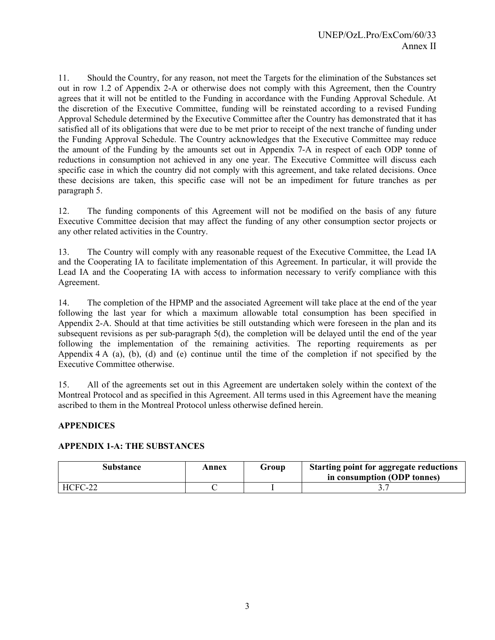11. Should the Country, for any reason, not meet the Targets for the elimination of the Substances set out in row 1.2 of Appendix 2-A or otherwise does not comply with this Agreement, then the Country agrees that it will not be entitled to the Funding in accordance with the Funding Approval Schedule. At the discretion of the Executive Committee, funding will be reinstated according to a revised Funding Approval Schedule determined by the Executive Committee after the Country has demonstrated that it has satisfied all of its obligations that were due to be met prior to receipt of the next tranche of funding under the Funding Approval Schedule. The Country acknowledges that the Executive Committee may reduce the amount of the Funding by the amounts set out in Appendix 7-A in respect of each ODP tonne of reductions in consumption not achieved in any one year. The Executive Committee will discuss each specific case in which the country did not comply with this agreement, and take related decisions. Once these decisions are taken, this specific case will not be an impediment for future tranches as per paragraph 5.

12. The funding components of this Agreement will not be modified on the basis of any future Executive Committee decision that may affect the funding of any other consumption sector projects or any other related activities in the Country.

13. The Country will comply with any reasonable request of the Executive Committee, the Lead IA and the Cooperating IA to facilitate implementation of this Agreement. In particular, it will provide the Lead IA and the Cooperating IA with access to information necessary to verify compliance with this Agreement.

14. The completion of the HPMP and the associated Agreement will take place at the end of the year following the last year for which a maximum allowable total consumption has been specified in Appendix 2-A. Should at that time activities be still outstanding which were foreseen in the plan and its subsequent revisions as per sub-paragraph 5(d), the completion will be delayed until the end of the year following the implementation of the remaining activities. The reporting requirements as per Appendix  $4 \text{ A}$  (a), (b), (d) and (e) continue until the time of the completion if not specified by the Executive Committee otherwise.

15. All of the agreements set out in this Agreement are undertaken solely within the context of the Montreal Protocol and as specified in this Agreement. All terms used in this Agreement have the meaning ascribed to them in the Montreal Protocol unless otherwise defined herein.

## **APPENDICES**

## **APPENDIX 1-A: THE SUBSTANCES**

| Substance | Annex | Group | <b>Starting point for aggregate reductions</b><br>in consumption (ODP tonnes) |
|-----------|-------|-------|-------------------------------------------------------------------------------|
| HCFC-22   |       |       |                                                                               |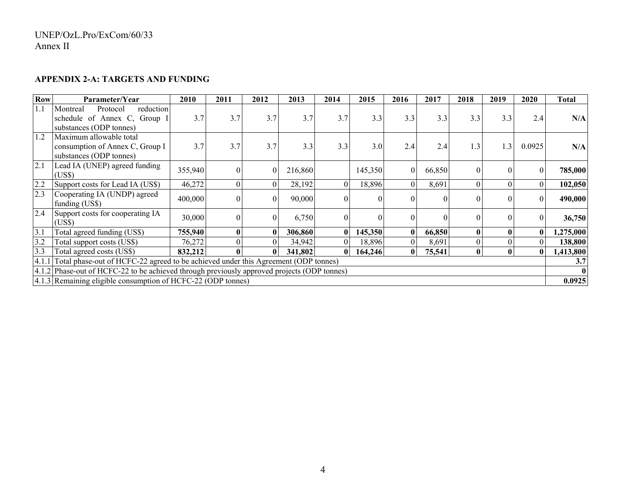#### **APPENDIX 2-A: TARGETS AND FUNDING**

| <b>Row</b> | Parameter/Year                                                                               | 2010    | 2011     | 2012             | 2013    | 2014     | 2015     | 2016     | 2017   | 2018             | 2019             | 2020             | Total     |
|------------|----------------------------------------------------------------------------------------------|---------|----------|------------------|---------|----------|----------|----------|--------|------------------|------------------|------------------|-----------|
| 1.1        | reduction<br>Montreal<br>Protocol<br>schedule of Annex C, Group I<br>substances (ODP tonnes) | 3.7     | 3.7      | 3.7              | 3.7     | 3.7      | 3.3      | 3.3      | 3.3    | 3.3              | 3.3              | 2.4              | N/A       |
| 1.2        | Maximum allowable total<br>consumption of Annex C, Group I<br>substances (ODP tonnes)        | 3.7     | 3.7      | 3.7              | 3.3     | 3.3      | 3.0      | 2.4      | 2.4    | 1.3              | 1.3              | 0.0925           | N/A       |
| 2.1        | Lead IA (UNEP) agreed funding<br>(US\$)                                                      | 355,940 |          | $\boldsymbol{0}$ | 216,860 |          | 145,350  | $\Omega$ | 66,850 | 0                | $\theta$         | $\boldsymbol{0}$ | 785,000   |
| 2.2        | Support costs for Lead IA (US\$)                                                             | 46,272  | $\theta$ | $\boldsymbol{0}$ | 28,192  | $\Omega$ | 18,896   | $\Omega$ | 8,691  | $\boldsymbol{0}$ | $\boldsymbol{0}$ | $\mathbf{0}$     | 102,050   |
| 2.3        | Cooperating IA (UNDP) agreed<br>funding (US\$)                                               | 400,000 |          | $\boldsymbol{0}$ | 90,000  | $\Omega$ | $\Omega$ |          |        | 0                | $\theta$         | $\theta$         | 490,000   |
| 2.4        | Support costs for cooperating IA<br>(US\$)                                                   | 30,000  | $\Omega$ | $\boldsymbol{0}$ | 6,750   | $\Omega$ | $\Omega$ |          | 0      | 0                | $\theta$         | $\theta$         | 36,750    |
| 3.1        | Total agreed funding (US\$)                                                                  | 755,940 | $\bf{0}$ | $\bf{0}$         | 306,860 |          | 145,350  | $\bf{0}$ | 66,850 | $\bf{0}$         | $\bf{0}$         | $\bf{0}$         | 1,275,000 |
| 3.2        | Total support costs (US\$)                                                                   | 76,272  |          | $\theta$         | 34,942  |          | 18,896   |          | 8,691  | $\overline{0}$   | $\theta$         | $\boldsymbol{0}$ | 138,800   |
| 3.3        | Total agreed costs (US\$)                                                                    | 832,212 | 0        | $\mathbf{0}$     | 341,802 | $\bf{0}$ | 164,246  | $\bf{0}$ | 75,541 | $\bf{0}$         | $\bf{0}$         | 0                | 1,413,800 |
| 4.1.1      | Total phase-out of HCFC-22 agreed to be achieved under this Agreement (ODP tonnes)           |         |          |                  |         |          |          |          |        |                  |                  | 3.7              |           |
|            | 4.1.2 Phase-out of HCFC-22 to be achieved through previously approved projects (ODP tonnes)  |         |          |                  |         |          |          |          |        |                  |                  |                  |           |
|            | 4.1.3 Remaining eligible consumption of HCFC-22 (ODP tonnes)                                 |         |          |                  |         |          |          |          |        |                  |                  |                  | 0.0925    |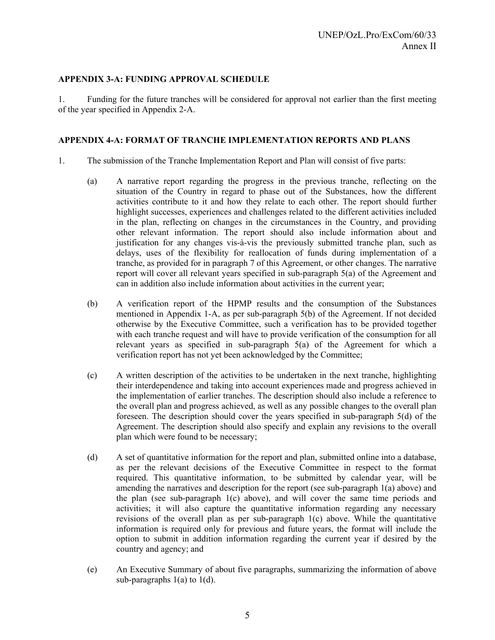## **APPENDIX 3-A: FUNDING APPROVAL SCHEDULE**

1. Funding for the future tranches will be considered for approval not earlier than the first meeting of the year specified in Appendix 2-A.

## **APPENDIX 4-A: FORMAT OF TRANCHE IMPLEMENTATION REPORTS AND PLANS**

- 1. The submission of the Tranche Implementation Report and Plan will consist of five parts:
	- (a) A narrative report regarding the progress in the previous tranche, reflecting on the situation of the Country in regard to phase out of the Substances, how the different activities contribute to it and how they relate to each other. The report should further highlight successes, experiences and challenges related to the different activities included in the plan, reflecting on changes in the circumstances in the Country, and providing other relevant information. The report should also include information about and justification for any changes vis-à-vis the previously submitted tranche plan, such as delays, uses of the flexibility for reallocation of funds during implementation of a tranche, as provided for in paragraph 7 of this Agreement, or other changes. The narrative report will cover all relevant years specified in sub-paragraph 5(a) of the Agreement and can in addition also include information about activities in the current year;
	- (b) A verification report of the HPMP results and the consumption of the Substances mentioned in Appendix 1-A, as per sub-paragraph 5(b) of the Agreement. If not decided otherwise by the Executive Committee, such a verification has to be provided together with each tranche request and will have to provide verification of the consumption for all relevant years as specified in sub-paragraph 5(a) of the Agreement for which a verification report has not yet been acknowledged by the Committee;
	- (c) A written description of the activities to be undertaken in the next tranche, highlighting their interdependence and taking into account experiences made and progress achieved in the implementation of earlier tranches. The description should also include a reference to the overall plan and progress achieved, as well as any possible changes to the overall plan foreseen. The description should cover the years specified in sub-paragraph 5(d) of the Agreement. The description should also specify and explain any revisions to the overall plan which were found to be necessary;
	- (d) A set of quantitative information for the report and plan, submitted online into a database, as per the relevant decisions of the Executive Committee in respect to the format required. This quantitative information, to be submitted by calendar year, will be amending the narratives and description for the report (see sub-paragraph 1(a) above) and the plan (see sub-paragraph 1(c) above), and will cover the same time periods and activities; it will also capture the quantitative information regarding any necessary revisions of the overall plan as per sub-paragraph 1(c) above. While the quantitative information is required only for previous and future years, the format will include the option to submit in addition information regarding the current year if desired by the country and agency; and
	- (e) An Executive Summary of about five paragraphs, summarizing the information of above sub-paragraphs  $1(a)$  to  $1(d)$ .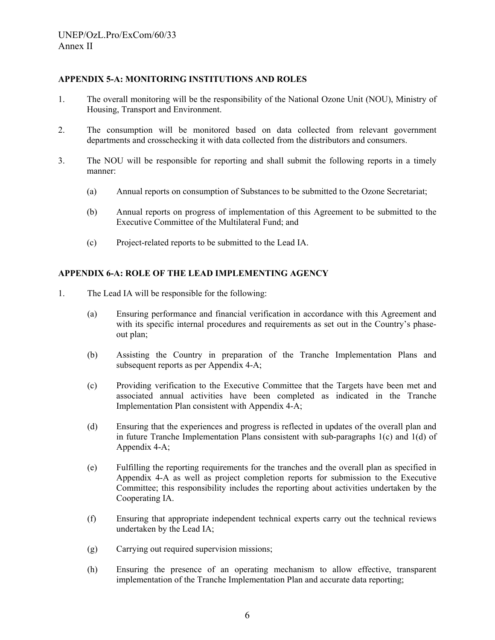## **APPENDIX 5-A: MONITORING INSTITUTIONS AND ROLES**

- 1. The overall monitoring will be the responsibility of the National Ozone Unit (NOU), Ministry of Housing, Transport and Environment.
- 2. The consumption will be monitored based on data collected from relevant government departments and crosschecking it with data collected from the distributors and consumers.
- 3. The NOU will be responsible for reporting and shall submit the following reports in a timely manner:
	- (a) Annual reports on consumption of Substances to be submitted to the Ozone Secretariat;
	- (b) Annual reports on progress of implementation of this Agreement to be submitted to the Executive Committee of the Multilateral Fund; and
	- (c) Project-related reports to be submitted to the Lead IA.

## **APPENDIX 6-A: ROLE OF THE LEAD IMPLEMENTING AGENCY**

- 1. The Lead IA will be responsible for the following:
	- (a) Ensuring performance and financial verification in accordance with this Agreement and with its specific internal procedures and requirements as set out in the Country's phaseout plan;
	- (b) Assisting the Country in preparation of the Tranche Implementation Plans and subsequent reports as per Appendix 4-A;
	- (c) Providing verification to the Executive Committee that the Targets have been met and associated annual activities have been completed as indicated in the Tranche Implementation Plan consistent with Appendix 4-A;
	- (d) Ensuring that the experiences and progress is reflected in updates of the overall plan and in future Tranche Implementation Plans consistent with sub-paragraphs  $1(c)$  and  $1(d)$  of Appendix 4-A;
	- (e) Fulfilling the reporting requirements for the tranches and the overall plan as specified in Appendix 4-A as well as project completion reports for submission to the Executive Committee; this responsibility includes the reporting about activities undertaken by the Cooperating IA.
	- (f) Ensuring that appropriate independent technical experts carry out the technical reviews undertaken by the Lead IA;
	- (g) Carrying out required supervision missions;
	- (h) Ensuring the presence of an operating mechanism to allow effective, transparent implementation of the Tranche Implementation Plan and accurate data reporting;